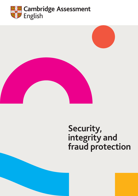





# **Security, integrity and fraud protection**

**Cambridge Assessment English** Security, integrity and fraud protection 1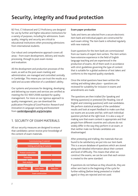# **Security, integrity and fraud protection**

B2 First, C1 Advanced and C2 Proficiency are designed for use by further and higher education institutions for a variety of purposes, including for admissions. Exam quality, integrity and security are critical to educational institutions when processing admissions from international students.

Our robust and comprehensive approach covers all areas – from exam development, delivery and results processing, through to post-exam review and evaluation.

All the development and production processes of the exam, as well as the post-exam marking and administration, are managed and controlled centrally in Cambridge. This means you can trust the results as a valid and accurate reflection of a candidate's ability.

Our systems and processes for designing, developing and delivering our exams and services are certified as meeting the ISO 9001:2008 standard for quality management. For more on our rigorous approach to quality management, you can download the publication *Principles of Good Practice: Research and Innovation in Language Learning and Assessment* from **[cambridgeenglish.org/principles](http://cambridgeenglish.org/principles)**.

# 1. SECURITY OF EXAM MATERIALS

All our security measures are designed to ensure that candidates cannot receive prior knowledge of the content of exam materials.



#### **Exam paper production**

Tasks and items are selected from a secure electronic item bank and individual papers are constructed for each exam sitting. The item bank is refreshed regularly with new material.

Exam questions for the item bank are commissioned from our teams of expert item writers. The item writers have extensive experience in the field of English language teaching and are experienced in the production of exams. All of them work in accordance with strict guidelines governing the type of content that is suitable for a global audience of test takers and conforms to the required quality standards.

Once the initial questions have been written the vetting and editing takes place – questions are reviewed for suitability for inclusion in exams and amendments are made.

The questions are then trialled (for Speaking and Writing questions) or pretested (for Reading, Use of English and Listening questions) with real candidates. We perform statistical analysis of the candidates' results and look at expert feedback to make sure that our exams are accurate and fair, with each individual question pitched at the right level. It is also a way of making sure that exam content is appropriate and that people from different countries and cultures do not widely differ in the way they perform in an exam, or that neither male nor female candidates are disadvantaged.

After pretesting and trialling, the materials that are found to be satisfactory are put into our item bank. This is a secure database of questions which are stored along with detailed information about their content and level of difficulty. This means that when we construct the exams, we can be sure that each version is created to the same standard.

If questions do not behave as they should do, they are either sent back to the beginning of the cycle for further editing (before being pretested or trialled again) or they are rejected and not used.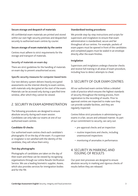#### **Secure storage and despatch of materials**

All confidential exam materials are printed and stored within our own high-security premises and despatched securely to authorised exam centres by courier.

#### **Secure storage of exam materials by the centre**

Centres must adhere to strict requirements for the storage and transport of materials.

#### Security of materials on exam day

There are strict guidelines for the handling of materials on exam day to prevent unauthorised access.

#### Specific security measures for computer-based tests

Our test delivery system delivers heavily encrypted assessments via the internet directly to exam centres, with materials only decrypted at the start of the exam. Materials can be accessed only during a specified time window, after which they cannot be viewed.

# 2. SECURITY IN EXAM ADMINISTRATION

The following procedures are designed to ensure absolute security during each exam session. Candidates can only take our exams at one of our authorised exam centres.

#### **Candidate ID checks**

Our authorised exam centres check each candidate's photographic ID on the day of the exam. If a supervisor or invigilator is not satisfied with the identity of the candidate, they will refuse them entry.

#### **Test day photographs**

Photographs of candidates are taken on the day of their exam and these can be viewed by recognising organisations through our online Results Verification Service. We use a leading biometric supplier, Aware, which also provides services for immigration bodies and for the FBI.

#### **Standardised testing procedures**

We provide step-by-step instructions and scripts for supervisors and invigilators to ensure that exam administration is standardised, secure and fair throughout all our centres. For example, packets of exam papers must be opened in front of the candidates and completed papers must be sealed in an envelope directly after the exam finishes.

#### **Invigilation**

Supervisors and invigilators undergo character checks and receive full training in all areas of exam procedure, including how to detect attempts to cheat.

# 3. SECURITY OF OUR EXAM CENTRES

All our authorised exam centres follow a detailed code of practice which ensures the highest standards of security throughout the testing process, from registration to the recording of results. Prior to approval centres are inspected to make sure they can provide suitable facilities, and they are regularly inspected.

Centres follow strict procedures in administering our exams in a fair, secure and unbiased manner. As part of our commitment to security, we carry out:

- pre-approval checks and an inspection
- routine inspections and checks, including unannounced inspections
- monitoring of anomalies in performance.

### 4. SECURITY IN MARKING AND ISSUING OF RESULTS

Our post-test processes are designed to ensure absolute security in marking and rigorous checks of results before they are released.